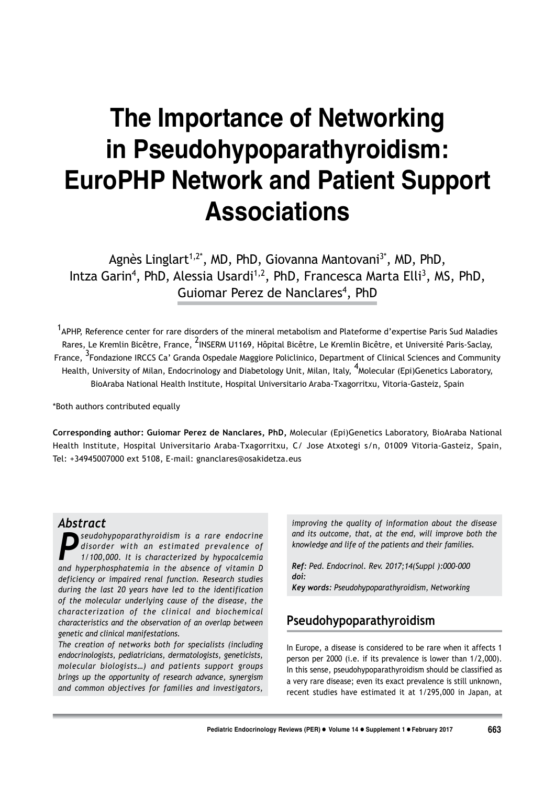# The Importance of Networking in Pseudohypoparathyroidism: **EuroPHP Network and Patient Support Associations**

Agnès Linglart<sup>1,2\*</sup>, MD, PhD, Giovanna Mantovani<sup>3\*</sup>, MD, PhD, Intza Garin<sup>4</sup>, PhD, Alessia Usardi<sup>1,2</sup>, PhD, Francesca Marta Elli<sup>3</sup>, MS, PhD, Guiomar Perez de Nanclares<sup>4</sup>, PhD

<sup>1</sup>APHP, Reference center for rare disorders of the mineral metabolism and Plateforme d'expertise Paris Sud Maladies Rares, Le Kremlin Bicêtre, France, <sup>2</sup>INSERM U1169, Hôpital Bicêtre, Le Kremlin Bicêtre, et Université Paris-Saclay, France, <sup>3</sup>Fondazione IRCCS Ca' Granda Ospedale Maggiore Policlinico, Department of Clinical Sciences and Community Health, University of Milan, Endocrinology and Diabetology Unit, Milan, Italy, <sup>4</sup>Molecular (Epi)Genetics Laboratory, BioAraba National Health Institute, Hospital Universitario Araba-Txagorritxu, Vitoria-Gasteiz, Spain

\*Both authors contributed equally

Corresponding author: Guiomar Perez de Nanclares, PhD, Molecular (Epi)Genetics Laboratory, BioAraba National Health Institute, Hospital Universitario Araba-Txagorritxu, C/ Jose Atxotegi s/n, 01009 Vitoria-Gasteiz, Spain, Tel: +34945007000 ext 5108, E-mail: gnanclares@osakidetza.eus

## **Abstract**

seudohypoparathyroidism is a rare endocrine disorder with an estimated prevalence of 1/100.000. It is characterized by hypocalcemia and hyperphosphatemia in the absence of vitamin D deficiency or impaired renal function. Research studies during the last 20 years have led to the identification of the molecular underlying cause of the disease, the characterization of the clinical and biochemical characteristics and the observation of an overlap between genetic and clinical manifestations.

The creation of networks both for specialists (including endocrinologists, pediatricians, dermatologists, geneticists, molecular biologists...) and patients support groups brings up the opportunity of research advance, synergism and common objectives for families and investigators,

improving the quality of information about the disease and its outcome, that, at the end, will improve both the knowledge and life of the patients and their families.

Ref: Ped. Endocrinol. Rev. 2017;14(Suppl ):000-000 doi:

Key words: Pseudohypoparathyroidism, Networking

# Pseudohypoparathyroidism

In Europe, a disease is considered to be rare when it affects 1 person per 2000 (i.e. if its prevalence is lower than 1/2,000). In this sense, pseudohypoparathyroidism should be classified as a very rare disease; even its exact prevalence is still unknown, recent studies have estimated it at 1/295,000 in Japan, at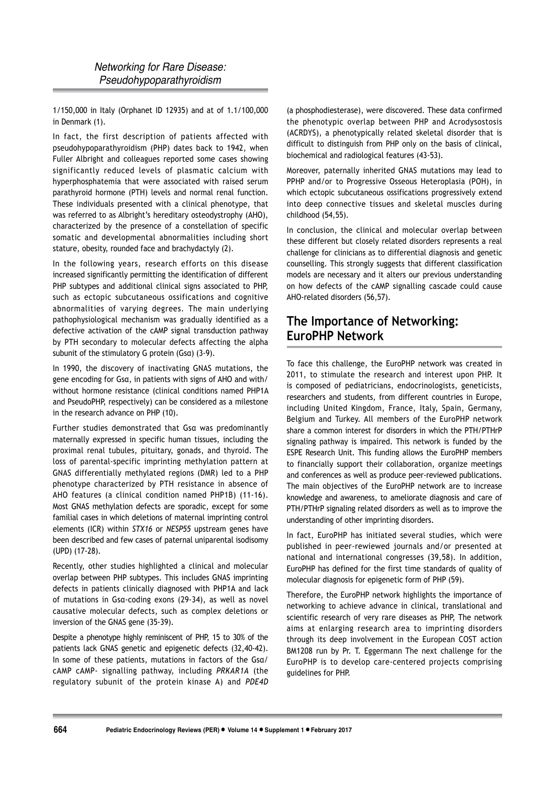1/150,000 in Italy (Orphanet ID 12935) and at of 1.1/100,000 in Denmark (1).

In fact, the first description of patients affected with pseudohypoparathyroidism (PHP) dates back to 1942, when Fuller Albright and colleagues reported some cases showing significantly reduced levels of plasmatic calcium with hyperphosphatemia that were associated with raised serum parathyroid hormone (PTH) levels and normal renal function. These individuals presented with a clinical phenotype, that was referred to as Albright's hereditary osteodystrophy (AHO), characterized by the presence of a constellation of specific somatic and developmental abnormalities including short stature, obesity, rounded face and brachydactyly (2).

In the following years, research efforts on this disease increased significantly permitting the identification of different PHP subtypes and additional clinical signs associated to PHP, such as ectopic subcutaneous ossifications and cognitive abnormalities of varying degrees. The main underlying pathophysiological mechanism was gradually identified as a defective activation of the cAMP signal transduction pathway by PTH secondary to molecular defects affecting the alpha subunit of the stimulatory G protein  $(Gsa)$  (3-9).

In 1990, the discovery of inactivating GNAS mutations, the gene encoding for Gsa, in patients with signs of AHO and with/ without hormone resistance (clinical conditions named PHP1A and PseudoPHP, respectively) can be considered as a milestone in the research advance on PHP (10).

Further studies demonstrated that Gsa was predominantly maternally expressed in specific human tissues, including the proximal renal tubules, pituitary, gonads, and thyroid. The loss of parental-specific imprinting methylation pattern at GNAS differentially methylated regions (DMR) led to a PHP phenotype characterized by PTH resistance in absence of AHO features (a clinical condition named PHP1B) (11-16). Most GNAS methylation defects are sporadic, except for some familial cases in which deletions of maternal imprinting control elements (ICR) within STX16 or NESP55 upstream genes have been described and few cases of paternal uniparental isodisomy (UPD) (17-28).

Recently, other studies highlighted a clinical and molecular overlap between PHP subtypes. This includes GNAS imprinting defects in patients clinically diagnosed with PHP1A and lack of mutations in Gsg-coding exons (29-34), as well as novel causative molecular defects, such as complex deletions or inversion of the GNAS gene (35-39).

Despite a phenotype highly reminiscent of PHP, 15 to 30% of the patients lack GNAS genetic and epigenetic defects (32,40-42). In some of these patients, mutations in factors of the Gsa/ cAMP cAMP- signalling pathway, including PRKAR1A (the regulatory subunit of the protein kinase A) and PDE4D (a phosphodiesterase), were discovered. These data confirmed the phenotypic overlap between PHP and Acrodysostosis (ACRDYS), a phenotypically related skeletal disorder that is difficult to distinguish from PHP only on the basis of clinical, biochemical and radiological features (43-53).

Moreover, paternally inherited GNAS mutations may lead to PPHP and/or to Progressive Osseous Heteroplasia (POH), in which ectopic subcutaneous ossifications progressively extend into deep connective tissues and skeletal muscles during childhood (54,55).

In conclusion, the clinical and molecular overlap between these different but closely related disorders represents a real challenge for clinicians as to differential diagnosis and genetic counselling. This strongly suggests that different classification models are necessary and it alters our previous understanding on how defects of the cAMP signalling cascade could cause AHO-related disorders (56,57).

# **The Importance of Networking: EuroPHP Network**

To face this challenge, the EuroPHP network was created in 2011, to stimulate the research and interest upon PHP. It is composed of pediatricians, endocrinologists, geneticists, researchers and students, from different countries in Europe, including United Kingdom, France, Italy, Spain, Germany, Belgium and Turkey. All members of the EuroPHP network share a common interest for disorders in which the PTH/PTHrP signaling pathway is impaired. This network is funded by the ESPE Research Unit. This funding allows the EuroPHP members to financially support their collaboration, organize meetings and conferences as well as produce peer-reviewed publications. The main objectives of the EuroPHP network are to increase knowledge and awareness, to ameliorate diagnosis and care of PTH/PTHrP signaling related disorders as well as to improve the understanding of other imprinting disorders.

In fact, EuroPHP has initiated several studies, which were published in peer-rewiewed journals and/or presented at national and international congresses (39,58). In addition, EuroPHP has defined for the first time standards of quality of molecular diagnosis for epigenetic form of PHP (59).

Therefore, the EuroPHP network highlights the importance of networking to achieve advance in clinical, translational and scientific research of very rare diseases as PHP, The network aims at enlarging research area to imprinting disorders through its deep involvement in the European COST action BM1208 run by Pr. T. Eggermann The next challenge for the EuroPHP is to develop care-centered projects comprising guidelines for PHP.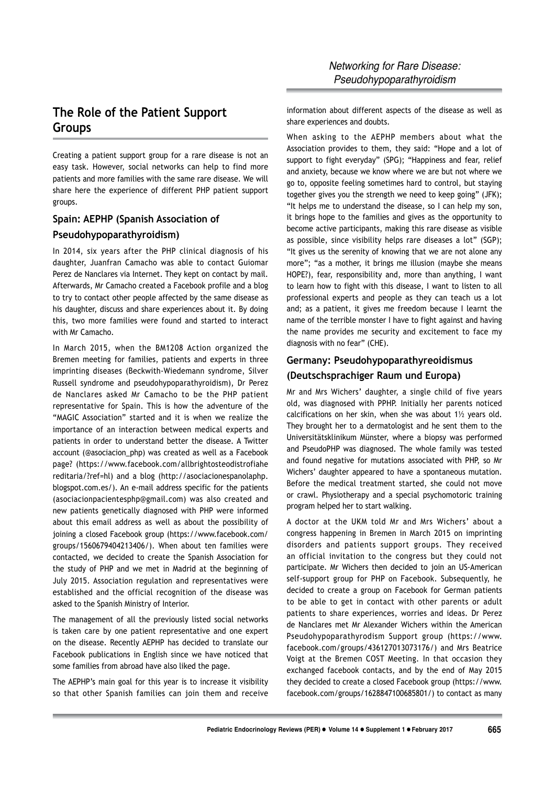# The Role of the Patient Support **Groups**

Creating a patient support group for a rare disease is not an easy task. However, social networks can help to find more patients and more families with the same rare disease. We will share here the experience of different PHP patient support groups.

#### Spain: AEPHP (Spanish Association of

#### Pseudohypoparathyroidism)

In 2014, six years after the PHP clinical diagnosis of his daughter, Juanfran Camacho was able to contact Guiomar Perez de Nanclares via Internet. They kept on contact by mail. Afterwards, Mr Camacho created a Facebook profile and a blog to try to contact other people affected by the same disease as his daughter, discuss and share experiences about it. By doing this, two more families were found and started to interact with Mr Camacho.

In March 2015, when the BM1208 Action organized the Bremen meeting for families, patients and experts in three imprinting diseases (Beckwith-Wiedemann syndrome, Silver Russell syndrome and pseudohypoparathyroidism), Dr Perez de Nanclares asked Mr Camacho to be the PHP patient representative for Spain. This is how the adventure of the "MAGIC Association" started and it is when we realize the importance of an interaction between medical experts and patients in order to understand better the disease. A Twitter account (@asociacion php) was created as well as a Facebook page? (https://www.facebook.com/allbrightosteodistrofiahe reditaria/?ref=hl) and a blog (http://asociacionespanolaphp. blogspot.com.es/). An e-mail address specific for the patients (asociacionpacientesphp@gmail.com) was also created and new patients genetically diagnosed with PHP were informed about this email address as well as about the possibility of joining a closed Facebook group (https://www.facebook.com/ groups/1560679404213406/). When about ten families were contacted, we decided to create the Spanish Association for the study of PHP and we met in Madrid at the beginning of July 2015. Association regulation and representatives were established and the official recognition of the disease was asked to the Spanish Ministry of Interior.

The management of all the previously listed social networks is taken care by one patient representative and one expert on the disease. Recently AEPHP has decided to translate our Facebook publications in English since we have noticed that some families from abroad have also liked the page.

The AEPHP's main goal for this year is to increase it visibility so that other Spanish families can join them and receive

information about different aspects of the disease as well as share experiences and doubts.

When asking to the AEPHP members about what the Association provides to them, they said: "Hope and a lot of support to fight everyday" (SPG); "Happiness and fear, relief and anxiety, because we know where we are but not where we go to, opposite feeling sometimes hard to control, but staying together gives you the strength we need to keep going" (JFK); "It helps me to understand the disease, so I can help my son, it brings hope to the families and gives as the opportunity to become active participants, making this rare disease as visible as possible, since visibility helps rare diseases a lot" (SGP); "It gives us the serenity of knowing that we are not alone any more"; "as a mother, it brings me illusion (maybe she means HOPE?), fear, responsibility and, more than anything, I want to learn how to fight with this disease, I want to listen to all professional experts and people as they can teach us a lot and; as a patient, it gives me freedom because I learnt the name of the terrible monster I have to fight against and having the name provides me security and excitement to face my diagnosis with no fear" (CHE).

## Germany: Pseudohypoparathyreoidismus (Deutschsprachiger Raum und Europa)

Mr and Mrs Wichers' daughter, a single child of five years old, was diagnosed with PPHP. Initially her parents noticed calcifications on her skin, when she was about 11/2 years old. They brought her to a dermatologist and he sent them to the Universitätsklinikum Münster, where a biopsy was performed and PseudoPHP was diagnosed. The whole family was tested and found negative for mutations associated with PHP, so Mr Wichers' daughter appeared to have a spontaneous mutation. Before the medical treatment started, she could not move or crawl. Physiotherapy and a special psychomotoric training program helped her to start walking.

A doctor at the UKM told Mr and Mrs Wichers' about a congress happening in Bremen in March 2015 on imprinting disorders and patients support groups. They received an official invitation to the congress but they could not participate. Mr Wichers then decided to join an US-American self-support group for PHP on Facebook. Subsequently, he decided to create a group on Facebook for German patients to be able to get in contact with other parents or adult patients to share experiences, worries and ideas. Dr Perez de Nanclares met Mr Alexander Wichers within the American Pseudohypoparathyrodism Support group (https://www. facebook.com/groups/436127013073176/) and Mrs Beatrice Voigt at the Bremen COST Meeting. In that occasion they exchanged facebook contacts, and by the end of May 2015 they decided to create a closed Facebook group (https://www. facebook.com/groups/1628847100685801/) to contact as many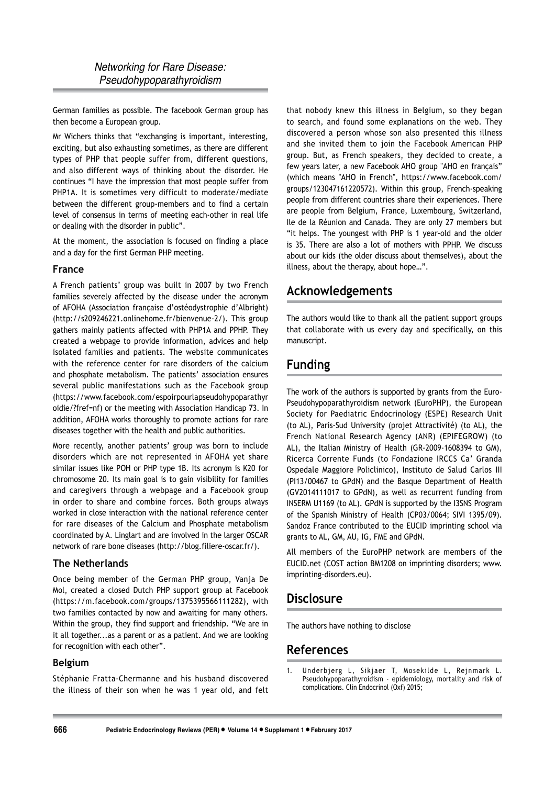German families as possible. The facebook German group has then become a European group.

Mr Wichers thinks that "exchanging is important, interesting, exciting, but also exhausting sometimes, as there are different types of PHP that people suffer from, different questions, and also different ways of thinking about the disorder. He continues "I have the impression that most people suffer from PHP1A. It is sometimes very difficult to moderate/mediate between the different group-members and to find a certain level of consensus in terms of meeting each-other in real life or dealing with the disorder in public".

At the moment, the association is focused on finding a place and a day for the first German PHP meeting.

#### France

A French patients' group was built in 2007 by two French families severely affected by the disease under the acronym of AFOHA (Association française d'ostéodystrophie d'Albright) (http://s209246221.onlinehome.fr/bienvenue-2/). This group gathers mainly patients affected with PHP1A and PPHP. They created a webpage to provide information, advices and help isolated families and patients. The website communicates with the reference center for rare disorders of the calcium and phosphate metabolism. The patients' association ensures several public manifestations such as the Facebook group (https://www.facebook.com/espoirpourlapseudohypoparathyr oidie/?fref=nf) or the meeting with Association Handicap 73. In addition, AFOHA works thoroughly to promote actions for rare diseases together with the health and public authorities.

More recently, another patients' group was born to include disorders which are not represented in AFOHA yet share similar issues like POH or PHP type 1B. Its acronym is K20 for chromosome 20. Its main goal is to gain visibility for families and caregivers through a webpage and a Facebook group in order to share and combine forces. Both groups always worked in close interaction with the national reference center for rare diseases of the Calcium and Phosphate metabolism coordinated by A. Linglart and are involved in the larger OSCAR network of rare bone diseases (http://blog.filiere-oscar.fr/).

## The Netherlands

Once being member of the German PHP group, Vanja De Mol, created a closed Dutch PHP support group at Facebook (https://m.facebook.com/groups/1375395566111282), with two families contacted by now and awaiting for many others. Within the group, they find support and friendship. "We are in it all together...as a parent or as a patient. And we are looking for recognition with each other".

## **Belgium**

Stéphanie Fratta-Chermanne and his husband discovered the illness of their son when he was 1 year old, and felt that nobody knew this illness in Belgium, so they began to search, and found some explanations on the web. They discovered a person whose son also presented this illness and she invited them to join the Facebook American PHP group. But, as French speakers, they decided to create, a few years later, a new Facebook AHO group "AHO en français" (which means "AHO in French", https://www.facebook.com/ groups/123047161220572). Within this group, French-speaking people from different countries share their experiences. There are people from Belgium, France, Luxembourg, Switzerland, Ile de la Réunion and Canada. They are only 27 members but "it helps. The youngest with PHP is 1 year-old and the older is 35. There are also a lot of mothers with PPHP. We discuss about our kids (the older discuss about themselves), about the illness, about the therapy, about hope...".

## Acknowledgements

The authors would like to thank all the patient support groups that collaborate with us every day and specifically, on this manuscript.

# **Funding**

The work of the authors is supported by grants from the Euro-Pseudohypoparathyroidism network (EuroPHP), the European Society for Paediatric Endocrinology (ESPE) Research Unit (to AL), Paris-Sud University (projet Attractivité) (to AL), the French National Research Agency (ANR) (EPIFEGROW) (to AL), the Italian Ministry of Health (GR-2009-1608394 to GM), Ricerca Corrente Funds (to Fondazione IRCCS Ca' Granda Ospedale Maggiore Policlinico), Instituto de Salud Carlos III (PI13/00467 to GPdN) and the Basque Department of Health (GV2014111017 to GPdN), as well as recurrent funding from INSERM U1169 (to AL). GPdN is supported by the I3SNS Program of the Spanish Ministry of Health (CP03/0064; SIVI 1395/09). Sandoz France contributed to the EUCID imprinting school via grants to AL, GM, AU, IG, FME and GPdN.

All members of the EuroPHP network are members of the EUCID.net (COST action BM1208 on imprinting disorders; www. imprinting-disorders.eu).

## **Disclosure**

The authors have nothing to disclose

## **References**

Underbjerg L, Sikjaer T, Mosekilde L, Rejnmark L.<br>Pseudohypoparathyroidism - epidemiology, mortality and risk of  $\mathbf{1}$ complications. Clin Endocrinol (Oxf) 2015;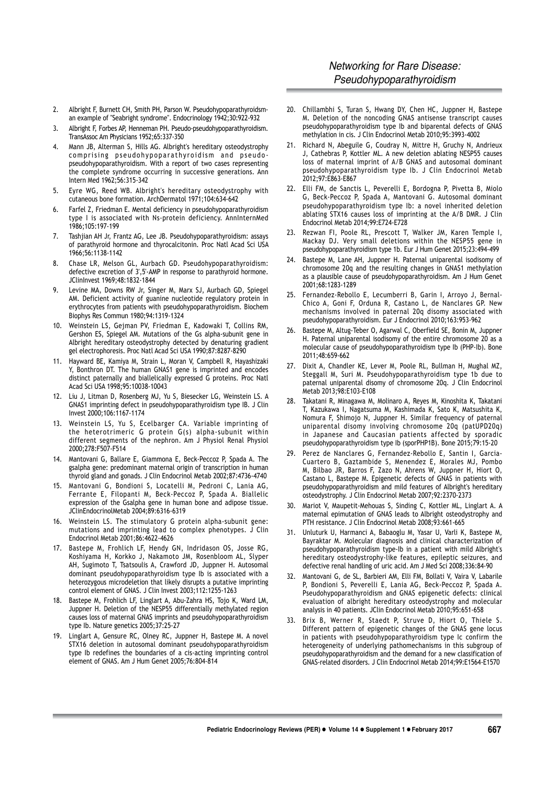## **Networking for Rare Disease:** Pseudohypoparathyroidism

- Albright F, Burnett CH, Smith PH, Parson W. Pseudohypoparathyroidsm- $2<sub>1</sub>$ an example of "Seabright syndrome". Endocrinology 1942;30:922-932
- Albright F, Forbes AP, Henneman PH. Pseudo-pseudohypoparathyroidism.  $\overline{3}$ . TransAssoc Am Physicians 1952;65:337-350
- Mann JB, Alterman S, Hills AG. Albright's hereditary osteodystrophy  $4.$ comprising pseudohypoparathyroidism and pseudopseudohypoparathyroidism. With a report of two cases representing the complete syndrome occurring in successive generations. Ann Intern Med 1962;56:315-342
- 5. Eyre WG, Reed WB. Albright's hereditary osteodystrophy with cutaneous bone formation. ArchDermatol 1971;104:634-642
- $6.$ Farfel Z, Friedman E. Mental deficiency in pseudohypoparathyroidism type I is associated with Ns-protein deficiency. AnninternMed 1986:105:197-199
- 7. Tashjian AH Jr, Frantz AG, Lee JB. Pseudohypoparathyroidism: assays of parathyroid hormone and thyrocalcitonin. Proc Natl Acad Sci USA 1966;56:1138-1142
- Chase LR, Melson GL, Aurbach GD. Pseudohypoparathyroidism: 8. defective excretion of 3',5'-AMP in response to parathyroid hormone. JClinInvest 1969;48:1832-1844
- Levine MA, Downs RW Jr, Singer M, Marx SJ, Aurbach GD, Spiegel AM. Deficient activity of guanine nucleotide regulatory protein in erythrocytes from patients with pseudohypoparathyroidism. Biochem Biophys Res Commun 1980;94:1319-1324
- 10. Weinstein LS, Gejman PV, Friedman E, Kadowaki T, Collins RM, Gershon ES, Spiegel AM. Mutations of the Gs alpha-subunit gene in Albright hereditary osteodystrophy detected by denaturing gradient gel electrophoresis. Proc Natl Acad Sci USA 1990;87:8287-8290
- 11. Hayward BE, Kamiya M, Strain L, Moran V, Campbell R, Hayashizaki Y. Bonthron DT. The human GNAS1 gene is imprinted and encodes distinct paternally and biallelically expressed G proteins. Proc Natl Acad Sci USA 1998;95:10038-10043
- 12. Liu J, Litman D, Rosenberg MJ, Yu S, Biesecker LG, Weinstein LS. A GNAS1 imprinting defect in pseudohypoparathyroidism type IB. J Clin Invest 2000;106:1167-1174
- 13. Weinstein LS, Yu S, Ecelbarger CA. Variable imprinting of the heterotrimeric G protein G(s) alpha-subunit within different segments of the nephron. Am J Physiol Renal Physiol 2000;278:F507-F514
- 14. Mantovani G. Ballare E. Giammona E. Beck-Peccoz P. Spada A. The gsalpha gene: predominant maternal origin of transcription in human thyroid gland and gonads. J Clin Endocrinol Metab 2002:87:4736-4740
- 15. Mantovani G, Bondioni S, Locatelli M, Pedroni C, Lania AG, Ferrante E, Filopanti M, Beck-Peccoz P, Spada A. Biallelic expression of the Gsalpha gene in human bone and adipose tissue. JClinEndocrinolMetab 2004;89:6316-6319
- 16. Weinstein LS. The stimulatory G protein alpha-subunit gene: mutations and imprinting lead to complex phenotypes. J Clin Endocrinol Metab 2001;86:4622-4626
- 17. Bastepe M, Frohlich LF, Hendy GN, Indridason OS, Josse RG, Koshiyama H, Korkko J, Nakamoto JM, Rosenbloom AL, Slyper AH, Sugimoto T, Tsatsoulis A, Crawford JD, Juppner H. Autosomal dominant pseudohypoparathyroidism type Ib is associated with a heterozygous microdeletion that likely disrupts a putative imprinting control element of GNAS. J Clin Invest 2003;112:1255-1263
- 18. Bastepe M, Frohlich LF, Linglart A, Abu-Zahra HS, Tojo K, Ward LM, Juppner H. Deletion of the NESP55 differentially methylated region causes loss of maternal GNAS imprints and pseudohypoparathyroidism type Ib. Nature genetics 2005;37:25-27
- 19. Linglart A, Gensure RC, Olney RC, Juppner H, Bastepe M. A novel STX16 deletion in autosomal dominant pseudohypoparathyroidism type Ib redefines the boundaries of a cis-acting imprinting control element of GNAS. Am J Hum Genet 2005;76:804-814
- 20. Chillambhi S, Turan S, Hwang DY, Chen HC, Juppner H, Bastepe M. Deletion of the noncoding GNAS antisense transcript causes pseudohypoparathyroidism type Ib and biparental defects of GNAS methylation in cis. J Clin Endocrinol Metab 2010;95:3993-4002
- 21. Richard N, Abeguile G, Coudray N, Mittre H, Gruchy N, Andrieux J, Cathebras P, Kottler ML. A new deletion ablating NESP55 causes loss of maternal imprint of A/B GNAS and autosomal dominant pseudohypoparathyroidism type Ib. J Clin Endocrinol Metab 2012;97:E863-E867
- 22. Elli FM, de Sanctis L, Peverelli E, Bordogna P, Pivetta B, Miolo G, Beck-Peccoz P, Spada A, Mantovani G. Autosomal dominant pseudohypoparathyroidism type lb: a novel inherited deletion ablating STX16 causes loss of imprinting at the A/B DMR. J Clin Endocrinol Metab 2014;99:E724-E728
- 23. Rezwan FI, Poole RL, Prescott T, Walker JM, Karen Temple I, Mackay DJ. Very small deletions within the NESP55 gene in pseudohypoparathyroidism type 1b. Eur J Hum Genet 2015;23:494-499
- 24. Bastepe M, Lane AH, Juppner H. Paternal uniparental isodisomy of chromosome 20q and the resulting changes in GNAS1 methylation as a plausible cause of pseudohypoparathyroidism. Am J Hum Genet 2001:68:1283-1289
- 25. Fernandez-Rebollo E, Lecumberri B, Garin I, Arroyo J, Bernal-Chico A, Goni F, Orduna R, Castano L, de Nanclares GP. New mechanisms involved in paternal 20q disomy associated with pseudohypoparathyroidism. Eur J Endocrinol 2010;163:953-962
- Bastepe M, Altug-Teber O, Agarwal C, Oberfield SE, Bonin M, Juppner  $26.$ H. Paternal uniparental isodisomy of the entire chromosome 20 as a molecular cause of pseudohypoparathyroidism type Ib (PHP-Ib). Bone 2011;48:659-662
- $27.$ Dixit A, Chandler KE, Lever M, Poole RL, Bullman H, Mughal MZ, Steggall M, Suri M. Pseudohypoparathyroidism type 1b due to paternal uniparental disomy of chromosome 20q. J Clin Endocrinol Metab 2013;98:E103-E108
- 28. Takatani R, Minagawa M, Molinaro A, Reyes M, Kinoshita K, Takatani T, Kazukawa I, Nagatsuma M, Kashimada K, Sato K, Matsushita K, Nomura F, Shimojo N, Juppner H. Similar frequency of paternal uniparental disomy involving chromosome 20g (patUPD20g) in Japanese and Caucasian patients affected by sporadic pseudohypoparathyroidism type lb (sporPHP1B). Bone 2015;79:15-20
- 29. Perez de Nanclares G. Fernandez-Rebollo E. Santin I. Garcia-Cuartero B, Gaztambide S, Menendez E, Morales MJ, Pombo<br>M, Bilbao JR, Barros F, Zazo N, Ahrens W, Juppner H, Hiort O, Castano L, Bastepe M. Epigenetic defects of GNAS in patients with pseudohypoparathyroidism and mild features of Albright's hereditary osteodystrophy. J Clin Endocrinol Metab 2007;92:2370-2373
- 30. Mariot V, Maupetit-Mehouas S, Sinding C, Kottler ML, Linglart A. A maternal epimutation of GNAS leads to Albright osteodystrophy and PTH resistance. J Clin Endocrinol Metab 2008;93:661-665
- $31.$ Unluturk U, Harmanci A, Babaoglu M, Yasar U, Varli K, Bastepe M, Bayraktar M. Molecular diagnosis and clinical characterization of pseudohypoparathyroidism type-Ib in a patient with mild Albright's hereditary osteodystrophy like features, epileptic seizures, and defective renal handling of uric acid. Am J Med Sci 2008;336:84-90
- $32<sub>2</sub>$ Mantovani G, de SL, Barbieri AM, Elli FM, Bollati V, Vaira V, Labarile P, Bondioni S, Peverelli E, Lania AG, Beck-Peccoz P, Spada A. Pseudohypoparathyroidism and GNAS epigenetic defects: clinical evaluation of albright hereditary osteodystrophy and molecular analysis in 40 patients. JClin Endocrinol Metab 2010:95:651-658
- Brix B, Werner R, Staedt P, Struve D, Hiort O, Thiele S. Different pattern of epigenetic changes of the GNAS gene locus in patients with pseudohypoparathyroidism type Ic confirm the heterogeneity of underlying pathomechanisms in this subgroup of pseudohypoparathyroidism and the demand for a new classification of GNAS-related disorders. J Clin Endocrinol Metab 2014;99:E1564-E1570